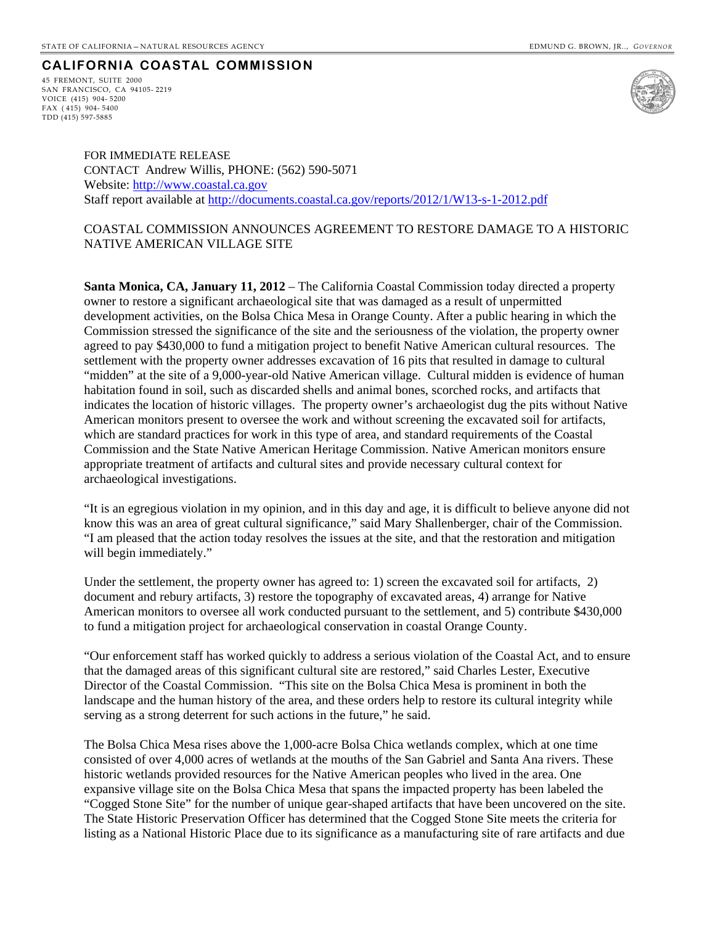## **CALIFORNIA COASTAL COMMISSION**

45 FREMONT, SUITE 2000 SAN FRANCISCO, CA 94105- 2219 VOICE (415) 904- 5200 FAX ( 415) 904- 5400 TDD (415) 597-5885



FOR IMMEDIATE RELEASE CONTACT Andrew Willis, PHONE: (562) 590-5071 Website: [http://www.coastal.ca.gov](http://www.coastal.ca.gov/) Staff report available at<http://documents.coastal.ca.gov/reports/2012/1/W13-s-1-2012.pdf>

## COASTAL COMMISSION ANNOUNCES AGREEMENT TO RESTORE DAMAGE TO A HISTORIC NATIVE AMERICAN VILLAGE SITE

**Santa Monica, CA, January 11, 2012** – The California Coastal Commission today directed a property owner to restore a significant archaeological site that was damaged as a result of unpermitted development activities, on the Bolsa Chica Mesa in Orange County. After a public hearing in which the Commission stressed the significance of the site and the seriousness of the violation, the property owner agreed to pay \$430,000 to fund a mitigation project to benefit Native American cultural resources. The settlement with the property owner addresses excavation of 16 pits that resulted in damage to cultural "midden" at the site of a 9,000-year-old Native American village. Cultural midden is evidence of human habitation found in soil, such as discarded shells and animal bones, scorched rocks, and artifacts that indicates the location of historic villages. The property owner's archaeologist dug the pits without Native American monitors present to oversee the work and without screening the excavated soil for artifacts, which are standard practices for work in this type of area, and standard requirements of the Coastal Commission and the State Native American Heritage Commission. Native American monitors ensure appropriate treatment of artifacts and cultural sites and provide necessary cultural context for archaeological investigations.

"It is an egregious violation in my opinion, and in this day and age, it is difficult to believe anyone did not know this was an area of great cultural significance," said Mary Shallenberger, chair of the Commission. "I am pleased that the action today resolves the issues at the site, and that the restoration and mitigation will begin immediately."

Under the settlement, the property owner has agreed to: 1) screen the excavated soil for artifacts, 2) document and rebury artifacts, 3) restore the topography of excavated areas, 4) arrange for Native American monitors to oversee all work conducted pursuant to the settlement, and 5) contribute \$430,000 to fund a mitigation project for archaeological conservation in coastal Orange County.

"Our enforcement staff has worked quickly to address a serious violation of the Coastal Act, and to ensure that the damaged areas of this significant cultural site are restored," said Charles Lester, Executive Director of the Coastal Commission. "This site on the Bolsa Chica Mesa is prominent in both the landscape and the human history of the area, and these orders help to restore its cultural integrity while serving as a strong deterrent for such actions in the future," he said.

The Bolsa Chica Mesa rises above the 1,000-acre Bolsa Chica wetlands complex, which at one time consisted of over 4,000 acres of wetlands at the mouths of the San Gabriel and Santa Ana rivers. These historic wetlands provided resources for the Native American peoples who lived in the area. One expansive village site on the Bolsa Chica Mesa that spans the impacted property has been labeled the "Cogged Stone Site" for the number of unique gear-shaped artifacts that have been uncovered on the site. The State Historic Preservation Officer has determined that the Cogged Stone Site meets the criteria for listing as a National Historic Place due to its significance as a manufacturing site of rare artifacts and due